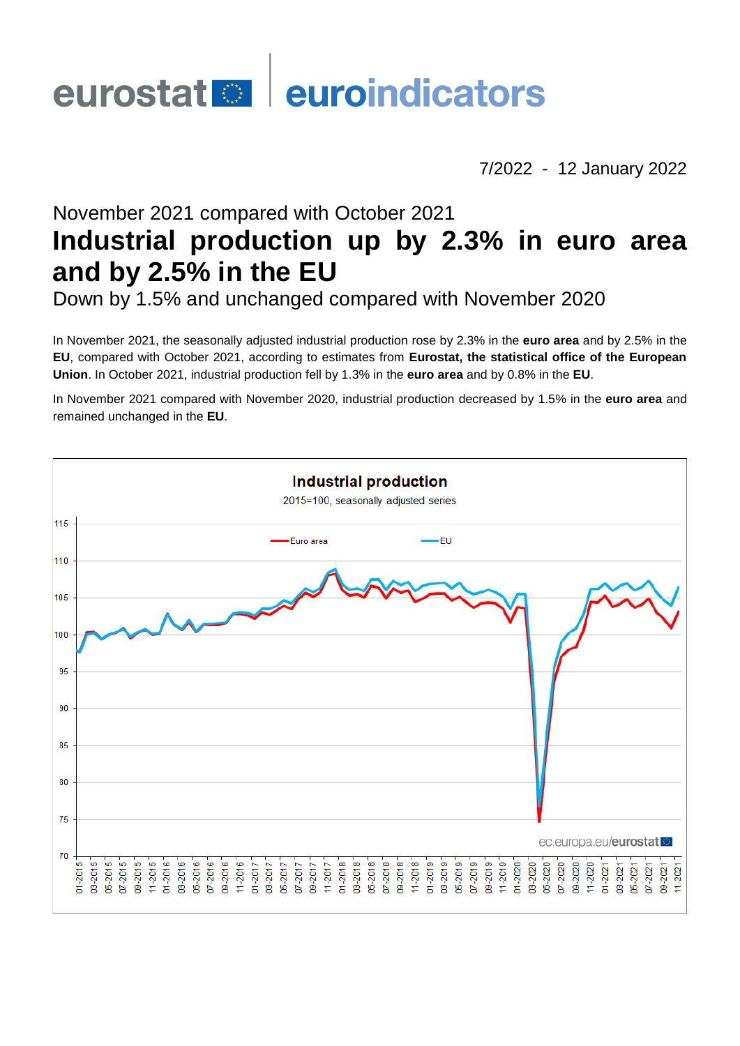# eurostat **de la euroindicators**

7/2022 - 12 January 2022

# November 2021 compared with October 2021 **Industrial production up by 2.3% in euro area and by 2.5% in the EU**

Down by 1.5% and unchanged compared with November 2020

In November 2021, the seasonally adjusted industrial production rose by 2.3% in the **euro area** and by 2.5% in the **EU**, compared with October 2021, according to estimates from **Eurostat, the statistical office of the European Union**. In October 2021, industrial production fell by 1.3% in the **euro area** and by 0.8% in the **EU**.

In November 2021 compared with November 2020, industrial production decreased by 1.5% in the **euro area** and remained unchanged in the **EU**.

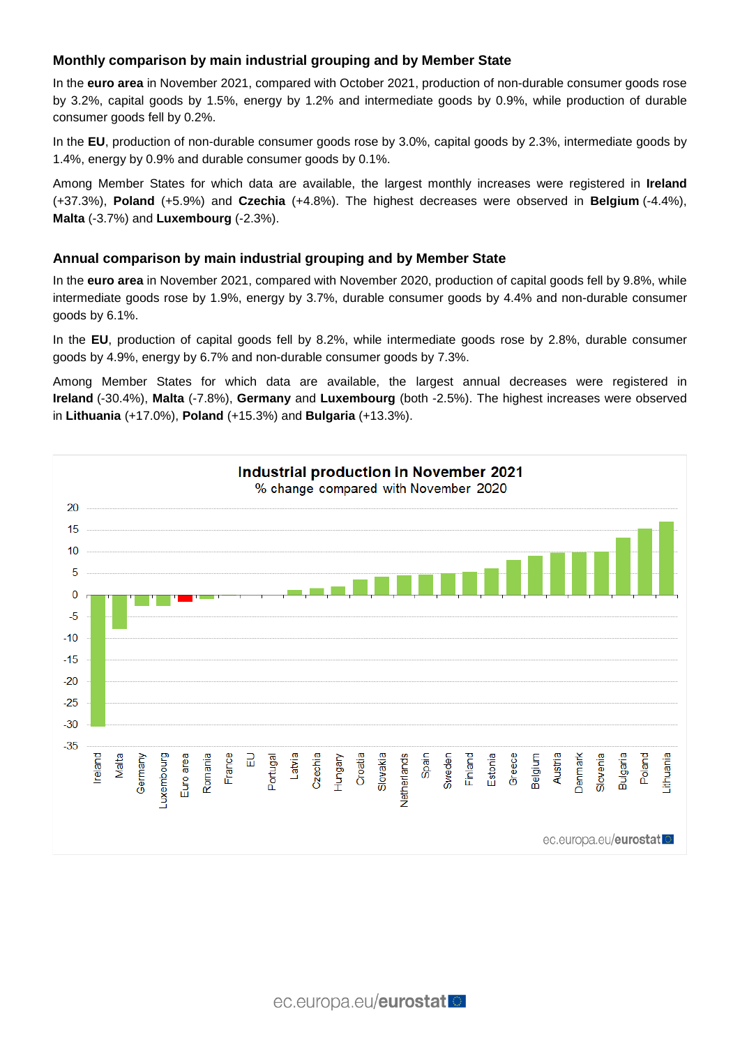# **Monthly comparison by main industrial grouping and by Member State**

In the **euro area** in November 2021, compared with October 2021, production of non-durable consumer goods rose by 3.2%, capital goods by 1.5%, energy by 1.2% and intermediate goods by 0.9%, while production of durable consumer goods fell by 0.2%.

In the **EU**, production of non-durable consumer goods rose by 3.0%, capital goods by 2.3%, intermediate goods by 1.4%, energy by 0.9% and durable consumer goods by 0.1%.

Among Member States for which data are available, the largest monthly increases were registered in **Ireland**  (+37.3%), **Poland** (+5.9%) and **Czechia** (+4.8%). The highest decreases were observed in **Belgium** (-4.4%), **Malta** (-3.7%) and **Luxembourg** (-2.3%).

### **Annual comparison by main industrial grouping and by Member State**

In the **euro area** in November 2021, compared with November 2020, production of capital goods fell by 9.8%, while intermediate goods rose by 1.9%, energy by 3.7%, durable consumer goods by 4.4% and non-durable consumer goods by 6.1%.

In the **EU**, production of capital goods fell by 8.2%, while intermediate goods rose by 2.8%, durable consumer goods by 4.9%, energy by 6.7% and non-durable consumer goods by 7.3%.

Among Member States for which data are available, the largest annual decreases were registered in **Ireland** (-30.4%), **Malta** (-7.8%), **Germany** and **Luxembourg** (both -2.5%). The highest increases were observed in **Lithuania** (+17.0%), **Poland** (+15.3%) and **Bulgaria** (+13.3%).

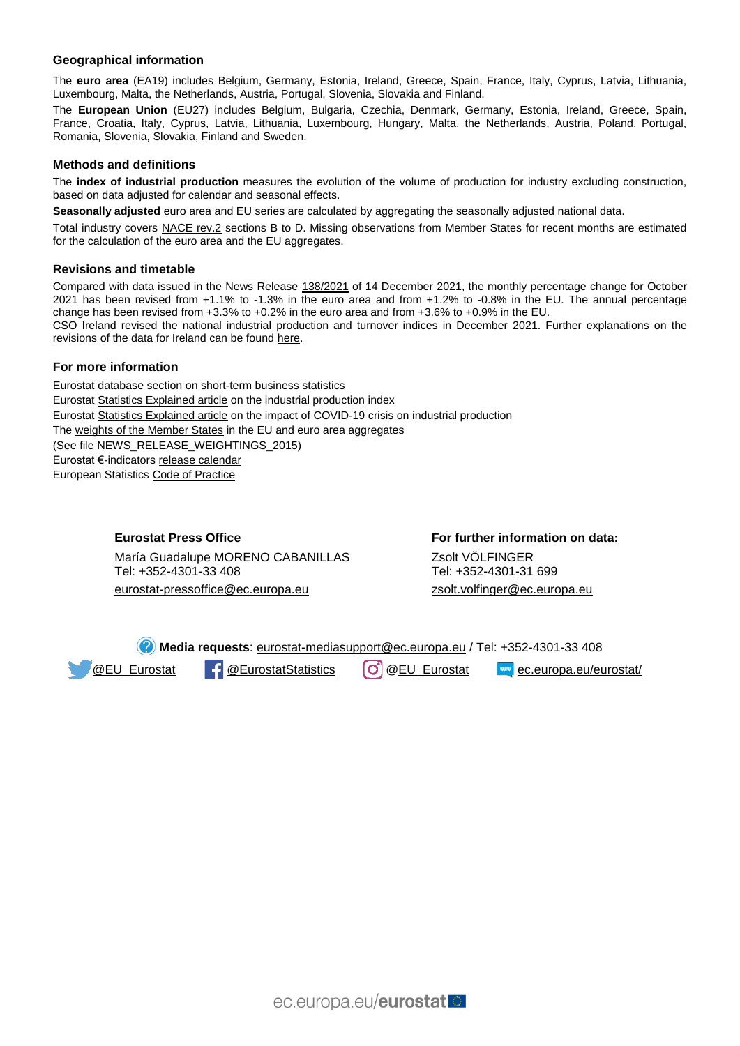#### **Geographical information**

The **euro area** (EA19) includes Belgium, Germany, Estonia, Ireland, Greece, Spain, France, Italy, Cyprus, Latvia, Lithuania, Luxembourg, Malta, the Netherlands, Austria, Portugal, Slovenia, Slovakia and Finland.

The **European Union** (EU27) includes Belgium, Bulgaria, Czechia, Denmark, Germany, Estonia, Ireland, Greece, Spain, France, Croatia, Italy, Cyprus, Latvia, Lithuania, Luxembourg, Hungary, Malta, the Netherlands, Austria, Poland, Portugal, Romania, Slovenia, Slovakia, Finland and Sweden.

#### **Methods and definitions**

The **index of industrial production** measures the evolution of the volume of production for industry excluding construction, based on data adjusted for calendar and seasonal effects.

**Seasonally adjusted** euro area and EU series are calculated by aggregating the seasonally adjusted national data.

Total industry covers [NACE rev.2](https://ec.europa.eu/eurostat/ramon/nomenclatures/index.cfm?TargetUrl=LST_NOM_DTL&StrNom=NACE_REV2&StrLanguageCode=EN&IntPcKey=&StrLayoutCode=HIERARCHIC) sections B to D. Missing observations from Member States for recent months are estimated for the calculation of the euro area and the EU aggregates.

#### **Revisions and timetable**

Compared with data issued in the News Release [138/2021](https://ec.europa.eu/eurostat/documents/2995521/11563407/4-14122021-%20AP-EN.pdf/9bbafa7c-ea3e-85af-626c-c458d2eeacf7) of 14 December 2021, the monthly percentage change for October 2021 has been revised from +1.1% to -1.3% in the euro area and from +1.2% to -0.8% in the EU. The annual percentage change has been revised from +3.3% to +0.2% in the euro area and from +3.6% to +0.9% in the EU. CSO Ireland revised the national industrial production and turnover indices in December 2021. Further explanations on the revisions of the data for Ireland can be found [here.](https://www.cso.ie/en/releasesandpublications/in/ipt/informationnoteindustrialproductionandturnoveriptindexrevision2021/)

#### **For more information**

Eurosta[t database section](https://ec.europa.eu/eurostat/web/short-term-business-statistics/data/database) on short-term business statistics Eurosta[t Statistics Explained article](https://ec.europa.eu/eurostat/statistics-explained/index.php/Industrial_production_(volume)_index_overview) on the industrial production index Eurosta[t Statistics Explained article](https://ec.europa.eu/eurostat/statistics-explained/index.php?title=Impact_of_Covid-19_crisis_on_industrial_production) on the impact of COVID-19 crisis on industrial production Th[e weights of the Member States](https://circabc.europa.eu/w/browse/d72689ec-103e-41a8-81d1-2e5ea5f171f5) in the EU and euro area aggregates (See file NEWS\_RELEASE\_WEIGHTINGS\_2015) Eurostat €-indicator[s release calendar](https://ec.europa.eu/eurostat/news/release-calendar) European Statistic[s Code of Practice](https://ec.europa.eu/eurostat/web/products-catalogues/-/KS-02-18-142)

#### **Eurostat Press Office**

María Guadalupe MORENO CABANILLAS Tel: +352-4301-33 408 [eurostat-pressoffice@ec.europa.eu](mailto:eurostat-pressoffice@ec.europa.eu)

**For further information on data:**

Zsolt VÖLFINGER Tel: +352-4301-31 699 [zsolt.volfinger@ec.europa.eu](mailto:zsolt.volfinger@ec.europa.eu)

**Media requests**: [eurostat-mediasupport@ec.europa.eu](mailto:eurostat-mediasupport@ec.europa.eu) / Tel: +352-4301-33 408 <sup>1</sup> @EU Eurostat **4 [@EurostatStatistics](https://www.facebook.com/EurostatStatistics) [O] @EU Eurostat example ex.europa.eu/eurostat/** 

ec.europa.eu/eurostat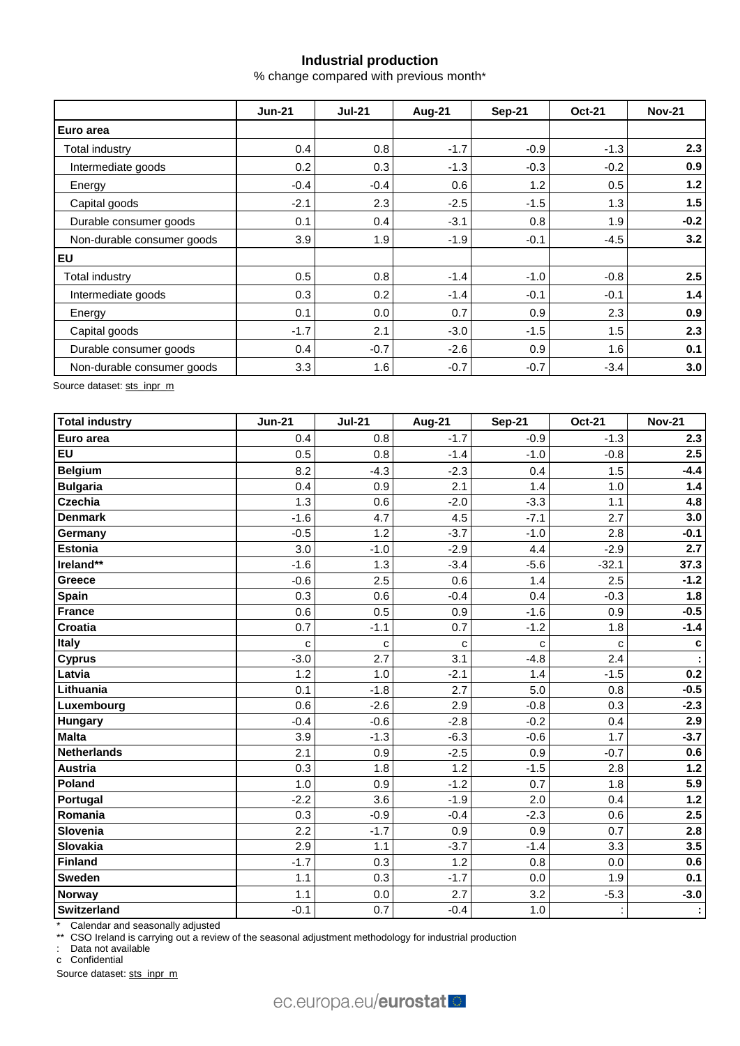# **Industrial production**

% change compared with previous month\*

|                            | $Jun-21$ | <b>Jul-21</b> | Aug-21 | <b>Sep-21</b> | <b>Oct-21</b> | <b>Nov-21</b> |  |
|----------------------------|----------|---------------|--------|---------------|---------------|---------------|--|
| Euro area                  |          |               |        |               |               |               |  |
| Total industry             | 0.4      | 0.8           | $-1.7$ | $-0.9$        | $-1.3$        | 2.3           |  |
| Intermediate goods         | 0.2      | 0.3           | $-1.3$ | $-0.3$        | $-0.2$        | 0.9           |  |
| Energy                     | $-0.4$   | $-0.4$        | 0.6    | 1.2           | 0.5           | 1.2           |  |
| Capital goods              | $-2.1$   | 2.3           | $-2.5$ | $-1.5$        | 1.3           | 1.5           |  |
| Durable consumer goods     | 0.1      | 0.4           | $-3.1$ | 0.8           | 1.9           | $-0.2$        |  |
| Non-durable consumer goods | 3.9      | 1.9           | $-1.9$ | $-0.1$        | $-4.5$        | 3.2           |  |
| <b>EU</b>                  |          |               |        |               |               |               |  |
| Total industry             | 0.5      | 0.8           | $-1.4$ | $-1.0$        | $-0.8$        | 2.5           |  |
| Intermediate goods         | 0.3      | 0.2           | $-1.4$ | $-0.1$        | $-0.1$        | 1.4           |  |
| Energy                     | 0.1      | 0.0           | 0.7    | 0.9           | 2.3           | 0.9           |  |
| Capital goods              | $-1.7$   | 2.1           | $-3.0$ | $-1.5$        | 1.5           | 2.3           |  |
| Durable consumer goods     | 0.4      | $-0.7$        | $-2.6$ | 0.9           | 1.6           | 0.1           |  |
| Non-durable consumer goods | 3.3      | 1.6           | $-0.7$ | $-0.7$        | $-3.4$        | 3.0           |  |

Source dataset: [sts\\_inpr\\_m](https://ec.europa.eu/eurostat/databrowser/view/STS_INPR_M__custom_157426/bookmark/table?lang=en&bookmarkId=e1a37ee0-dd54-4b40-ad2e-a8c4d82279e3)

| <b>Total industry</b> | <b>Jun-21</b> | <b>Jul-21</b>    | <b>Aug-21</b> | <b>Sep-21</b> | <b>Oct-21</b> | <b>Nov-21</b>        |
|-----------------------|---------------|------------------|---------------|---------------|---------------|----------------------|
| Euro area             | 0.4           | 0.8              | $-1.7$        | $-0.9$        | $-1.3$        | 2.3                  |
| <b>EU</b>             | 0.5           | 0.8              | $-1.4$        | $-1.0$        | $-0.8$        | 2.5                  |
| <b>Belgium</b>        | 8.2           | $-4.3$           | $-2.3$        | 0.4           | 1.5           | $-4.4$               |
| <b>Bulgaria</b>       | 0.4           | 0.9              | 2.1           | 1.4           | 1.0           | 1.4                  |
| <b>Czechia</b>        | 1.3           | 0.6              | $-2.0$        | $-3.3$        | 1.1           | 4.8                  |
| <b>Denmark</b>        | $-1.6$        | 4.7              | 4.5           | $-7.1$        | 2.7           | 3.0                  |
| Germany               | $-0.5$        | 1.2              | $-3.7$        | $-1.0$        | 2.8           | $-0.1$               |
| <b>Estonia</b>        | 3.0           | $-1.0$           | $-2.9$        | 4.4           | $-2.9$        | 2.7                  |
| Ireland**             | $-1.6$        | 1.3              | $-3.4$        | $-5.6$        | $-32.1$       | 37.3                 |
| Greece                | $-0.6$        | 2.5              | 0.6           | 1.4           | 2.5           | $-1.2$               |
| Spain                 | 0.3           | 0.6              | $-0.4$        | 0.4           | $-0.3$        | 1.8                  |
| <b>France</b>         | 0.6           | 0.5              | 0.9           | $-1.6$        | 0.9           | $-0.5$               |
| Croatia               | 0.7           | $-1.1$           | 0.7           | $-1.2$        | 1.8           | $-1.4$               |
| <b>Italy</b>          | C             | C                | C             | C             | C             | $\mathbf c$          |
| <b>Cyprus</b>         | $-3.0$        | $\overline{2.7}$ | 3.1           | $-4.8$        | 2.4           | ÷                    |
| Latvia                | 1.2           | 1.0              | $-2.1$        | 1.4           | $-1.5$        | 0.2                  |
| Lithuania             | 0.1           | $-1.8$           | 2.7           | 5.0           | 0.8           | $-0.5$               |
| Luxembourg            | 0.6           | $-2.6$           | 2.9           | $-0.8$        | 0.3           | $-2.3$               |
| <b>Hungary</b>        | $-0.4$        | $-0.6$           | $-2.8$        | $-0.2$        | 0.4           | 2.9                  |
| <b>Malta</b>          | 3.9           | $-1.3$           | $-6.3$        | $-0.6$        | 1.7           | $-3.7$               |
| <b>Netherlands</b>    | 2.1           | 0.9              | $-2.5$        | 0.9           | $-0.7$        | 0.6                  |
| <b>Austria</b>        | 0.3           | 1.8              | 1.2           | $-1.5$        | 2.8           | $1.2$                |
| Poland                | 1.0           | 0.9              | $-1.2$        | 0.7           | 1.8           | 5.9                  |
| <b>Portugal</b>       | $-2.2$        | 3.6              | $-1.9$        | 2.0           | 0.4           | $1.2$                |
| Romania               | 0.3           | $-0.9$           | $-0.4$        | $-2.3$        | 0.6           | 2.5                  |
| Slovenia              | 2.2           | $-1.7$           | 0.9           | 0.9           | 0.7           | 2.8                  |
| Slovakia              | 2.9           | $1.1$            | $-3.7$        | $-1.4$        | 3.3           | 3.5                  |
| <b>Finland</b>        | $-1.7$        | 0.3              | 1.2           | 0.8           | 0.0           | 0.6                  |
| <b>Sweden</b>         | 1.1           | 0.3              | $-1.7$        | 0.0           | 1.9           | 0.1                  |
| <b>Norway</b>         | 1.1           | 0.0              | 2.7           | 3.2           | $-5.3$        | $-3.0$               |
| Switzerland           | $-0.1$        | 0.7              | $-0.4$        | 1.0           |               | $\ddot{\phantom{a}}$ |

\* Calendar and seasonally adjusted

\*\* CSO Ireland is carrying out a review of the seasonal adjustment methodology for industrial production

: Data not available

c Confidential

Source dataset[: sts\\_inpr\\_m](https://ec.europa.eu/eurostat/databrowser/view/STS_INPR_M__custom_157710/bookmark/table?lang=en&bookmarkId=daad3781-0988-4ae4-8ec3-52334a659e0c)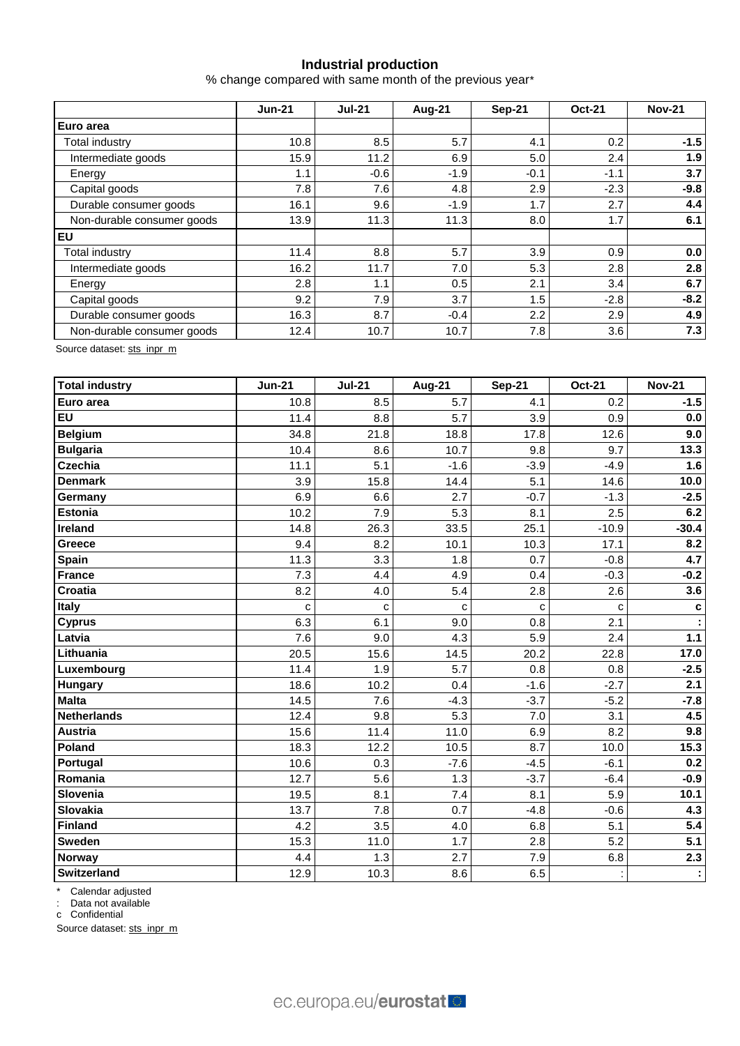## **Industrial production**

% change compared with same month of the previous year\*

|                            | <b>Jun-21</b> | <b>Jul-21</b> | Aug-21 | <b>Sep-21</b> | <b>Oct-21</b> | <b>Nov-21</b> |  |
|----------------------------|---------------|---------------|--------|---------------|---------------|---------------|--|
| Euro area                  |               |               |        |               |               |               |  |
| Total industry             | 10.8          | 8.5           | 5.7    | 4.1           | 0.2           | $-1.5$        |  |
| Intermediate goods         | 15.9          | 11.2          | 6.9    | 5.0           | 2.4           | 1.9           |  |
| Energy                     | 1.1           | $-0.6$        | $-1.9$ | $-0.1$        | $-1.1$        | 3.7           |  |
| Capital goods              | 7.8           | 7.6           | 4.8    | 2.9           | $-2.3$        | $-9.8$        |  |
| Durable consumer goods     | 16.1          | 9.6           | $-1.9$ | 1.7           | 2.7           | 4.4           |  |
| Non-durable consumer goods | 13.9          | 11.3          | 11.3   | 8.0           | 1.7           | 6.1           |  |
| <b>EU</b>                  |               |               |        |               |               |               |  |
| Total industry             | 11.4          | 8.8           | 5.7    | 3.9           | 0.9           | 0.0           |  |
| Intermediate goods         | 16.2          | 11.7          | 7.0    | 5.3           | 2.8           | 2.8           |  |
| Energy                     | 2.8           | 1.1           | 0.5    | 2.1           | 3.4           | 6.7           |  |
| Capital goods              | 9.2           | 7.9           | 3.7    | 1.5           | $-2.8$        | $-8.2$        |  |
| Durable consumer goods     | 16.3          | 8.7           | $-0.4$ | 2.2           | 2.9           | 4.9           |  |
| Non-durable consumer goods | 12.4          | 10.7          | 10.7   | 7.8           | 3.6           | 7.3           |  |

Source dataset[: sts\\_inpr\\_m](https://ec.europa.eu/eurostat/databrowser/view/STS_INPR_M__custom_157441/bookmark/table?lang=en&bookmarkId=f48e223b-0717-4e11-b5c7-2e4139ff4ab5)

| Total industry     | <b>Jun-21</b> | <b>Jul-21</b> | <b>Aug-21</b> | <b>Sep-21</b> | Oct-21  | <b>Nov-21</b>        |
|--------------------|---------------|---------------|---------------|---------------|---------|----------------------|
| Euro area          | 10.8          | 8.5           | 5.7           | 4.1           | 0.2     | $-1.5$               |
| <b>EU</b>          | 11.4          | 8.8           | 5.7           | 3.9           | 0.9     | 0.0                  |
| <b>Belgium</b>     | 34.8          | 21.8          | 18.8          | 17.8          | 12.6    | 9.0                  |
| <b>Bulgaria</b>    | 10.4          | 8.6           | 10.7          | 9.8           | 9.7     | 13.3                 |
| <b>Czechia</b>     | 11.1          | 5.1           | $-1.6$        | $-3.9$        | $-4.9$  | 1.6                  |
| <b>Denmark</b>     | 3.9           | 15.8          | 14.4          | 5.1           | 14.6    | 10.0                 |
| Germany            | 6.9           | 6.6           | 2.7           | $-0.7$        | $-1.3$  | $-2.5$               |
| <b>Estonia</b>     | 10.2          | 7.9           | 5.3           | 8.1           | 2.5     | 6.2                  |
| Ireland            | 14.8          | 26.3          | 33.5          | 25.1          | $-10.9$ | $-30.4$              |
| Greece             | 9.4           | 8.2           | 10.1          | 10.3          | 17.1    | 8.2                  |
| <b>Spain</b>       | 11.3          | 3.3           | 1.8           | 0.7           | $-0.8$  | 4.7                  |
| France             | 7.3           | 4.4           | 4.9           | 0.4           | $-0.3$  | $-0.2$               |
| <b>Croatia</b>     | 8.2           | 4.0           | 5.4           | 2.8           | 2.6     | 3.6                  |
| <b>Italy</b>       | C             | C             | C             | C             | C       | C                    |
| <b>Cyprus</b>      | 6.3           | 6.1           | 9.0           | 0.8           | 2.1     |                      |
| Latvia             | 7.6           | 9.0           | 4.3           | 5.9           | 2.4     | $1.1$                |
| Lithuania          | 20.5          | 15.6          | 14.5          | 20.2          | 22.8    | 17.0                 |
| Luxembourg         | 11.4          | 1.9           | 5.7           | 0.8           | 0.8     | $-2.5$               |
| <b>Hungary</b>     | 18.6          | 10.2          | 0.4           | $-1.6$        | $-2.7$  | 2.1                  |
| Malta              | 14.5          | 7.6           | $-4.3$        | $-3.7$        | $-5.2$  | $-7.8$               |
| <b>Netherlands</b> | 12.4          | 9.8           | 5.3           | 7.0           | 3.1     | 4.5                  |
| Austria            | 15.6          | 11.4          | 11.0          | 6.9           | 8.2     | 9.8                  |
| Poland             | 18.3          | 12.2          | 10.5          | 8.7           | 10.0    | 15.3                 |
| Portugal           | 10.6          | 0.3           | $-7.6$        | $-4.5$        | $-6.1$  | 0.2                  |
| Romania            | 12.7          | 5.6           | 1.3           | $-3.7$        | $-6.4$  | $-0.9$               |
| Slovenia           | 19.5          | 8.1           | 7.4           | 8.1           | 5.9     | 10.1                 |
| Slovakia           | 13.7          | 7.8           | 0.7           | $-4.8$        | $-0.6$  | 4.3                  |
| Finland            | 4.2           | 3.5           | 4.0           | 6.8           | 5.1     | 5.4                  |
| <b>Sweden</b>      | 15.3          | 11.0          | 1.7           | 2.8           | 5.2     | 5.1                  |
| Norway             | 4.4           | 1.3           | 2.7           | 7.9           | 6.8     | 2.3                  |
| Switzerland        | 12.9          | 10.3          | 8.6           | 6.5           | ċ       | $\ddot{\phantom{a}}$ |

\* Calendar adjusted

: Data not available

c Confidential

Source dataset[: sts\\_inpr\\_m](https://ec.europa.eu/eurostat/databrowser/view/STS_INPR_M__custom_157760/bookmark/table?lang=en&bookmarkId=da24ee79-7a94-48da-a155-c6c0e0b06dfa)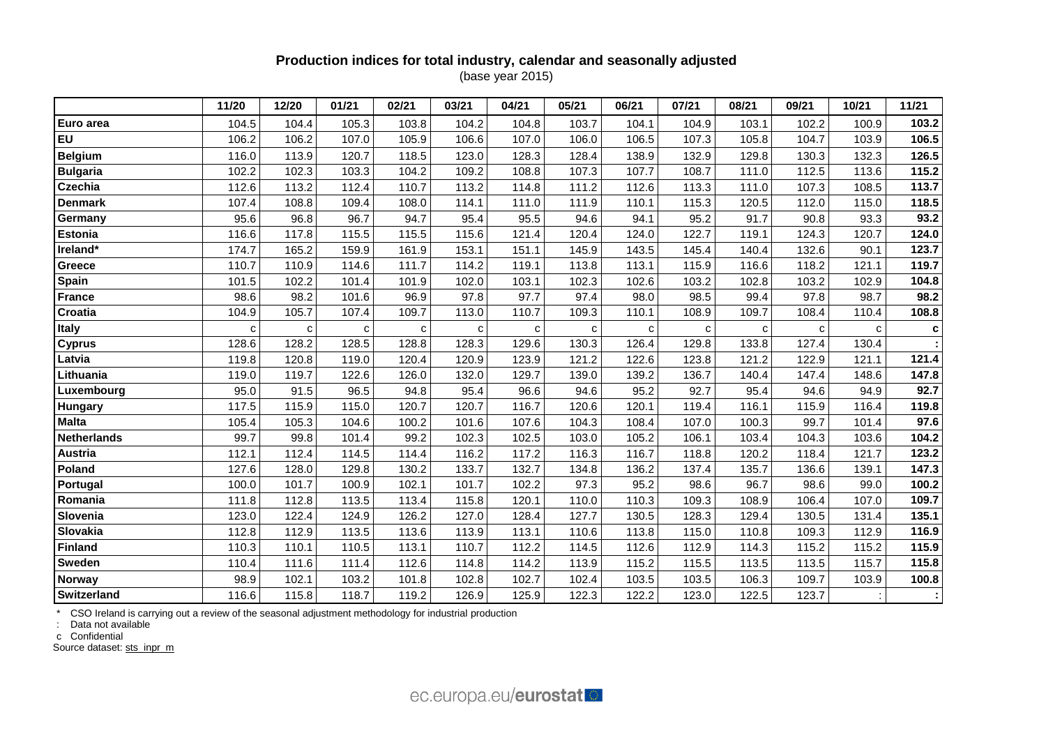# **Production indices for total industry, calendar and seasonally adjusted** (base year 2015)

|                    | 11/20 | 12/20        | 01/21 | 02/21 | 03/21 | 04/21 | 05/21 | 06/21 | 07/21 | 08/21 | 09/21        | 10/21       | 11/21 |
|--------------------|-------|--------------|-------|-------|-------|-------|-------|-------|-------|-------|--------------|-------------|-------|
| Euro area          | 104.5 | 104.4        | 105.3 | 103.8 | 104.2 | 104.8 | 103.7 | 104.1 | 104.9 | 103.1 | 102.2        | 100.9       | 103.2 |
| EU                 | 106.2 | 106.2        | 107.0 | 105.9 | 106.6 | 107.0 | 106.0 | 106.5 | 107.3 | 105.8 | 104.7        | 103.9       | 106.5 |
| <b>Belgium</b>     | 116.0 | 113.9        | 120.7 | 118.5 | 123.0 | 128.3 | 128.4 | 138.9 | 132.9 | 129.8 | 130.3        | 132.3       | 126.5 |
| <b>Bulgaria</b>    | 102.2 | 102.3        | 103.3 | 104.2 | 109.2 | 108.8 | 107.3 | 107.7 | 108.7 | 111.0 | 112.5        | 113.6       | 115.2 |
| Czechia            | 112.6 | 113.2        | 112.4 | 110.7 | 113.2 | 114.8 | 111.2 | 112.6 | 113.3 | 111.0 | 107.3        | 108.5       | 113.7 |
| <b>Denmark</b>     | 107.4 | 108.8        | 109.4 | 108.0 | 114.1 | 111.0 | 111.9 | 110.1 | 115.3 | 120.5 | 112.0        | 115.0       | 118.5 |
| Germany            | 95.6  | 96.8         | 96.7  | 94.7  | 95.4  | 95.5  | 94.6  | 94.1  | 95.2  | 91.7  | 90.8         | 93.3        | 93.2  |
| <b>Estonia</b>     | 116.6 | 117.8        | 115.5 | 115.5 | 115.6 | 121.4 | 120.4 | 124.0 | 122.7 | 119.1 | 124.3        | 120.7       | 124.0 |
| Ireland*           | 174.7 | 165.2        | 159.9 | 161.9 | 153.1 | 151.1 | 145.9 | 143.5 | 145.4 | 140.4 | 132.6        | 90.1        | 123.7 |
| Greece             | 110.7 | 110.9        | 114.6 | 111.7 | 114.2 | 119.1 | 113.8 | 113.1 | 115.9 | 116.6 | 118.2        | 121.1       | 119.7 |
| Spain              | 101.5 | 102.2        | 101.4 | 101.9 | 102.0 | 103.1 | 102.3 | 102.6 | 103.2 | 102.8 | 103.2        | 102.9       | 104.8 |
| <b>France</b>      | 98.6  | 98.2         | 101.6 | 96.9  | 97.8  | 97.7  | 97.4  | 98.0  | 98.5  | 99.4  | 97.8         | 98.7        | 98.2  |
| Croatia            | 104.9 | 105.7        | 107.4 | 109.7 | 113.0 | 110.7 | 109.3 | 110.1 | 108.9 | 109.7 | 108.4        | 110.4       | 108.8 |
| <b>Italy</b>       | c     | $\mathbf{C}$ | c     | с     | c     | C     | c     | c     | с     | C     | $\mathbf{C}$ | $\mathbf c$ | c     |
| <b>Cyprus</b>      | 128.6 | 128.2        | 128.5 | 128.8 | 128.3 | 129.6 | 130.3 | 126.4 | 129.8 | 133.8 | 127.4        | 130.4       |       |
| Latvia             | 119.8 | 120.8        | 119.0 | 120.4 | 120.9 | 123.9 | 121.2 | 122.6 | 123.8 | 121.2 | 122.9        | 121.1       | 121.4 |
| Lithuania          | 119.0 | 119.7        | 122.6 | 126.0 | 132.0 | 129.7 | 139.0 | 139.2 | 136.7 | 140.4 | 147.4        | 148.6       | 147.8 |
| Luxembourg         | 95.0  | 91.5         | 96.5  | 94.8  | 95.4  | 96.6  | 94.6  | 95.2  | 92.7  | 95.4  | 94.6         | 94.9        | 92.7  |
| Hungary            | 117.5 | 115.9        | 115.0 | 120.7 | 120.7 | 116.7 | 120.6 | 120.1 | 119.4 | 116.1 | 115.9        | 116.4       | 119.8 |
| <b>Malta</b>       | 105.4 | 105.3        | 104.6 | 100.2 | 101.6 | 107.6 | 104.3 | 108.4 | 107.0 | 100.3 | 99.7         | 101.4       | 97.6  |
| <b>Netherlands</b> | 99.7  | 99.8         | 101.4 | 99.2  | 102.3 | 102.5 | 103.0 | 105.2 | 106.1 | 103.4 | 104.3        | 103.6       | 104.2 |
| <b>Austria</b>     | 112.1 | 112.4        | 114.5 | 114.4 | 116.2 | 117.2 | 116.3 | 116.7 | 118.8 | 120.2 | 118.4        | 121.7       | 123.2 |
| Poland             | 127.6 | 128.0        | 129.8 | 130.2 | 133.7 | 132.7 | 134.8 | 136.2 | 137.4 | 135.7 | 136.6        | 139.1       | 147.3 |
| Portugal           | 100.0 | 101.7        | 100.9 | 102.1 | 101.7 | 102.2 | 97.3  | 95.2  | 98.6  | 96.7  | 98.6         | 99.0        | 100.2 |
| Romania            | 111.8 | 112.8        | 113.5 | 113.4 | 115.8 | 120.1 | 110.0 | 110.3 | 109.3 | 108.9 | 106.4        | 107.0       | 109.7 |
| Slovenia           | 123.0 | 122.4        | 124.9 | 126.2 | 127.0 | 128.4 | 127.7 | 130.5 | 128.3 | 129.4 | 130.5        | 131.4       | 135.1 |
| Slovakia           | 112.8 | 112.9        | 113.5 | 113.6 | 113.9 | 113.1 | 110.6 | 113.8 | 115.0 | 110.8 | 109.3        | 112.9       | 116.9 |
| <b>Finland</b>     | 110.3 | 110.1        | 110.5 | 113.1 | 110.7 | 112.2 | 114.5 | 112.6 | 112.9 | 114.3 | 115.2        | 115.2       | 115.9 |
| <b>Sweden</b>      | 110.4 | 111.6        | 111.4 | 112.6 | 114.8 | 114.2 | 113.9 | 115.2 | 115.5 | 113.5 | 113.5        | 115.7       | 115.8 |
| Norway             | 98.9  | 102.1        | 103.2 | 101.8 | 102.8 | 102.7 | 102.4 | 103.5 | 103.5 | 106.3 | 109.7        | 103.9       | 100.8 |
| <b>Switzerland</b> | 116.6 | 115.8        | 118.7 | 119.2 | 126.9 | 125.9 | 122.3 | 122.2 | 123.0 | 122.5 | 123.7        |             |       |

\* CSO Ireland is carrying out a review of the seasonal adjustment methodology for industrial production

: Data not available

c Confidential

Source dataset: [sts\\_inpr\\_m](https://ec.europa.eu/eurostat/databrowser/view/STS_INPR_M__custom_157783/bookmark/table?lang=en&bookmarkId=aaa35620-bc24-4bdd-99af-6d42250032b6)